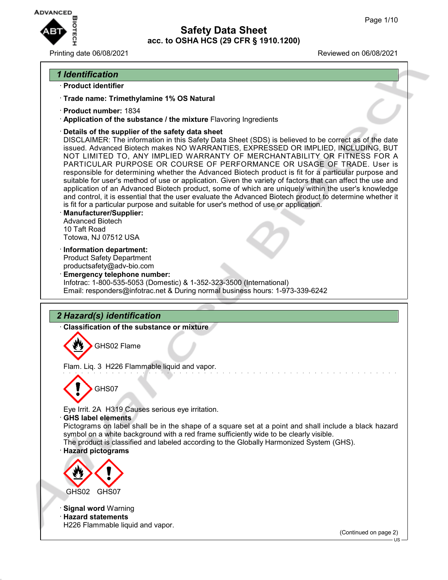

Printing date 06/08/2021 **Printing date 06/08/2021** 

## *1 Identification*

- · **Product identifier**
- · **Trade name: Trimethylamine 1% OS Natural**
- · **Product number:** 1834
- · **Application of the substance / the mixture** Flavoring Ingredients
- · **Details of the supplier of the safety data sheet**

DISCLAIMER: The information in this Safety Data Sheet (SDS) is believed to be correct as of the date issued. Advanced Biotech makes NO WARRANTIES, EXPRESSED OR IMPLIED, INCLUDING, BUT NOT LIMITED TO, ANY IMPLIED WARRANTY OF MERCHANTABILITY OR FITNESS FOR A PARTICULAR PURPOSE OR COURSE OF PERFORMANCE OR USAGE OF TRADE. User is responsible for determining whether the Advanced Biotech product is fit for a particular purpose and suitable for user's method of use or application. Given the variety of factors that can affect the use and application of an Advanced Biotech product, some of which are uniquely within the user's knowledge and control, it is essential that the user evaluate the Advanced Biotech product to determine whether it is fit for a particular purpose and suitable for user's method of use or application.

- · **Manufacturer/Supplier:** Advanced Biotech 10 Taft Road Totowa, NJ 07512 USA
- · **Information department:** Product Safety Department productsafety@adv-bio.com
- · **Emergency telephone number:** Infotrac: 1-800-535-5053 (Domestic) & 1-352-323-3500 (International) Email: responders@infotrac.net & During normal business hours: 1-973-339-6242

## *2 Hazard(s) identification*

· **Classification of the substance or mixture**

GHS02 Flame

Flam. Liq. 3 H226 Flammable liquid and vapor.



Eye Irrit. 2A H319 Causes serious eye irritation.

· **GHS label elements**

Pictograms on label shall be in the shape of a square set at a point and shall include a black hazard symbol on a white background with a red frame sufficiently wide to be clearly visible.

The product is classified and labeled according to the Globally Harmonized System (GHS).

### · **Hazard pictograms**



· **Signal word** Warning

· **Hazard statements** H226 Flammable liquid and vapor.

(Continued on page 2)

US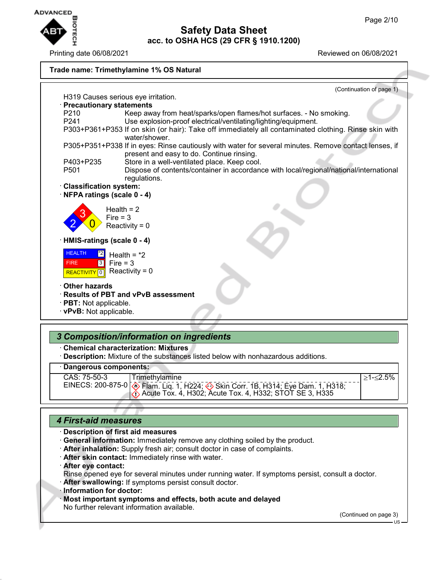

Printing date 06/08/2021 **Printing date 06/08/2021** 



#### · **Dangerous components:**

CAS: 75-50-3 EINECS: 200-875-0

≥1-≤2.5%

 Flam. Liq. 1, H224; Skin Corr. 1B, H314; Eye Dam. 1, H318; Acute Tox. 4, H302; Acute Tox. 4, H332; STOT SE 3, H335

### *4 First-aid measures*

· **Description of first aid measures**

- · **General information:** Immediately remove any clothing soiled by the product.
- · **After inhalation:** Supply fresh air; consult doctor in case of complaints.
- · **After skin contact:** Immediately rinse with water.
- · **After eye contact:**

Rinse opened eye for several minutes under running water. If symptoms persist, consult a doctor.

· **After swallowing:** If symptoms persist consult doctor.

**Trimethylamine** 

- · **Information for doctor:**
- · **Most important symptoms and effects, both acute and delayed** No further relevant information available.

(Continued on page 3)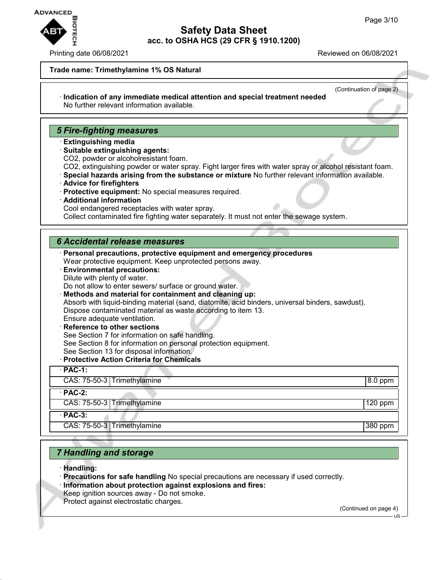

#### Printing date 06/08/2021 Reviewed on 06/08/2021

#### **Trade name: Trimethylamine 1% OS Natural**

#### (Continuation of page 2) · **Indication of any immediate medical attention and special treatment needed** No further relevant information available.

### *5 Fire-fighting measures*

- · **Extinguishing media**
- · **Suitable extinguishing agents:**
- CO2, powder or alcoholresistant foam.
- CO2, extinguishing powder or water spray. Fight larger fires with water spray or alcohol resistant foam.
- · **Special hazards arising from the substance or mixture** No further relevant information available.
- · **Advice for firefighters**
- · **Protective equipment:** No special measures required.
- · **Additional information**
- Cool endangered receptacles with water spray.

Collect contaminated fire fighting water separately. It must not enter the sewage system.

### *6 Accidental release measures*

· **Personal precautions, protective equipment and emergency procedures** Wear protective equipment. Keep unprotected persons away.

· **Environmental precautions:** Dilute with plenty of water.

Do not allow to enter sewers/ surface or ground water.

· **Methods and material for containment and cleaning up:**

Absorb with liquid-binding material (sand, diatomite, acid binders, universal binders, sawdust). Dispose contaminated material as waste according to item 13.

Ensure adequate ventilation.

- **Reference to other sections** See Section 7 for information on safe handling. See Section 8 for information on personal protection equipment. See Section 13 for disposal information.
- · **Protective Action Criteria for Chemicals**

| י וסוסטוריט וען מוויטון שוועל טריטרי |           |
|--------------------------------------|-----------|
| $PAC-1$ :                            |           |
| CAS: 75-50-3 Trimethylamine          | 8.0 ppm   |
| $PAC-2$ :                            |           |
| CAS: 75-50-3 Trimethylamine          | $120$ ppm |
| $\cdot$ PAC-3:                       |           |
| CAS: 75-50-3 Trimethylamine          | 380 ppm   |
|                                      |           |

### *7 Handling and storage*

- · **Handling:**
- · **Precautions for safe handling** No special precautions are necessary if used correctly.
- · **Information about protection against explosions and fires:**
- Keep ignition sources away Do not smoke.

Protect against electrostatic charges.

(Continued on page 4)

US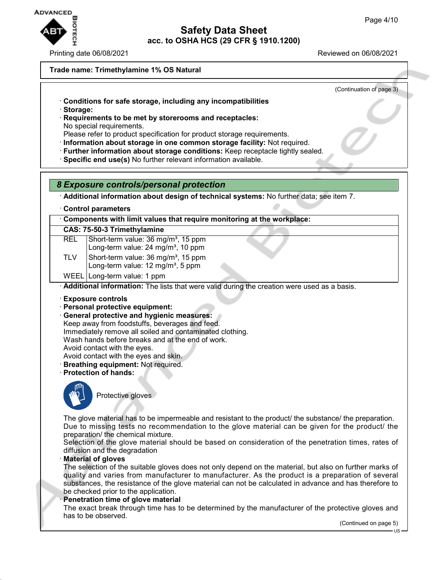

Printing date 06/08/2021 Reviewed on 06/08/2021

#### **Trade name: Trimethylamine 1% OS Natural**

(Continuation of page 3)

- · **Conditions for safe storage, including any incompatibilities**
- · **Storage:**
- · **Requirements to be met by storerooms and receptacles:** No special requirements.
- Please refer to product specification for product storage requirements.
- · **Information about storage in one common storage facility:** Not required.
- · **Further information about storage conditions:** Keep receptacle tightly sealed.
- · **Specific end use(s)** No further relevant information available.
- *8 Exposure controls/personal protection*
- · **Additional information about design of technical systems:** No further data; see item 7.
- · **Control parameters**

| Components with limit values that require monitoring at the workplace: |  |  |
|------------------------------------------------------------------------|--|--|
|                                                                        |  |  |

| CAS: 75-50-3 Trimethylamine |  |
|-----------------------------|--|
|-----------------------------|--|

- REL Short-term value: 36 mg/m<sup>3</sup>, 15 ppm Long-term value: 24 mg/m<sup>3</sup>, 10 ppm
- TLV  $\vert$  Short-term value: 36 mg/m<sup>3</sup>, 15 ppm
	- Long-term value:  $12 \text{ mg/m}^3$ , 5 ppm
- WEEL | Long-term value: 1 ppm

· **Additional information:** The lists that were valid during the creation were used as a basis.

- · **Exposure controls**
- · **Personal protective equipment:**
- · **General protective and hygienic measures:**
- Keep away from foodstuffs, beverages and feed.
- Immediately remove all soiled and contaminated clothing.
- Wash hands before breaks and at the end of work.
- Avoid contact with the eyes.
- Avoid contact with the eyes and skin.
- · **Breathing equipment:** Not required.
- · **Protection of hands:**



Protective gloves

The glove material has to be impermeable and resistant to the product/ the substance/ the preparation. Due to missing tests no recommendation to the glove material can be given for the product/ the preparation/ the chemical mixture.

Selection of the glove material should be based on consideration of the penetration times, rates of diffusion and the degradation

### · **Material of gloves**

The selection of the suitable gloves does not only depend on the material, but also on further marks of quality and varies from manufacturer to manufacturer. As the product is a preparation of several substances, the resistance of the glove material can not be calculated in advance and has therefore to be checked prior to the application.

**Penetration time of glove material** 

The exact break through time has to be determined by the manufacturer of the protective gloves and has to be observed.

(Continued on page 5)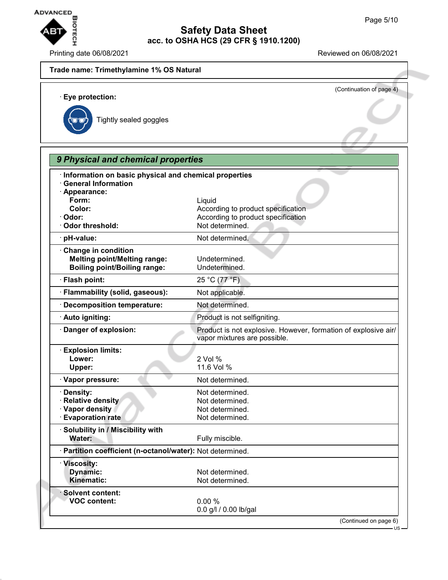US



## **Safety Data Sheet acc. to OSHA HCS (29 CFR § 1910.1200)**

Printing date 06/08/2021 Reviewed on 06/08/2021

# **Trade name: Trimethylamine 1% OS Natural** (Continuation of page 4) · **Eye protection:** Tightly sealed goggles *9 Physical and chemical properties* · **Information on basic physical and chemical properties** · **General Information** · **Appearance: Form:** Liquid **Color:** Color: **According to product specification** · Odor: **Odor: According to product specification** · Odor threshold: Not determined. · **pH-value:** Not determined. · **Change in condition Melting point/Melting range:** Undetermined. **Boiling point/Boiling range:** Undetermined. · **Flash point:** 25 °C (77 °F) · **Flammability (solid, gaseous):** Not applicable. · **Decomposition temperature:** Not determined. · **Auto igniting: Auto igniting: Product is not selfigniting.** · **Danger of explosion:** Product is not explosive. However, formation of explosive air/ vapor mixtures are possible. · **Explosion limits: Lower:** 2 Vol %<br> **Upper:** 2 Vol %<br>
11.6 Vol **Upper:** 11.6 Vol % **· Vapor pressure:**  $\qquad \qquad \bullet \qquad \qquad$  Not determined. **· Density:** Not determined. **· Relative density** Not determined. **· Vapor density** Not determined. **Evaporation rate** Not determined. · **Solubility in / Miscibility with** Water: **Water:** Fully miscible. · **Partition coefficient (n-octanol/water):** Not determined. · **Viscosity: Dynamic:** Not determined.<br> **Kinematic:** Not determined. **Not determined.** · **Solvent content: VOC content:** 0.00 % 0.0 g/l / 0.00 lb/gal (Continued on page 6)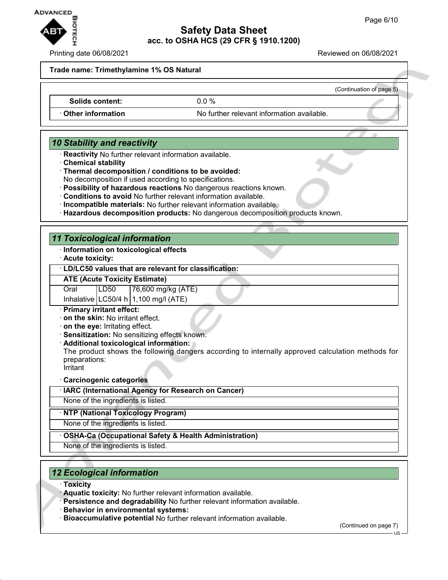

Printing date 06/08/2021 Reviewed on 06/08/2021

(Continuation of page 5)

**Trade name: Trimethylamine 1% OS Natural**

**Solids content:** 0.0 %

**Other information** No further relevant information available.

## *10 Stability and reactivity*

- · **Reactivity** No further relevant information available.
- · **Chemical stability**
- · **Thermal decomposition / conditions to be avoided:**

No decomposition if used according to specifications.

- · **Possibility of hazardous reactions** No dangerous reactions known.
- · **Conditions to avoid** No further relevant information available.
- · **Incompatible materials:** No further relevant information available.
- · **Hazardous decomposition products:** No dangerous decomposition products known.

## *11 Toxicological information*

- · **Information on toxicological effects**
- · **Acute toxicity:**

#### · **LD/LC50 values that are relevant for classification:**

**ATE (Acute Toxicity Estimate)**

Oral LD50 76,600 mg/kg (ATE)

Inhalative  $LC50/4$  h 1,100 mg/l (ATE)

#### · **Primary irritant effect:**

- · **on the skin:** No irritant effect.
- · **on the eye:** Irritating effect.
- · **Sensitization:** No sensitizing effects known.
- · **Additional toxicological information:**

The product shows the following dangers according to internally approved calculation methods for preparations:

Irritant

- · **Carcinogenic categories**
- · **IARC (International Agency for Research on Cancer)**

None of the ingredients is listed.

#### · **NTP (National Toxicology Program)**

None of the ingredients is listed.

#### · **OSHA-Ca (Occupational Safety & Health Administration)**

None of the ingredients is listed.

## *12 Ecological information*

- · **Toxicity**
- · **Aquatic toxicity:** No further relevant information available.
- · **Persistence and degradability** No further relevant information available.
- · **Behavior in environmental systems:**
- · **Bioaccumulative potential** No further relevant information available.

(Continued on page 7)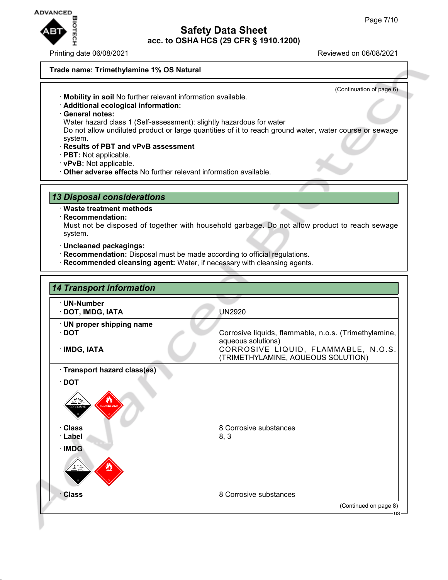

Printing date 06/08/2021 Reviewed on 06/08/2021

(Continuation of page 6)

#### **Trade name: Trimethylamine 1% OS Natural**

- · **Mobility in soil** No further relevant information available.
- · **Additional ecological information:**
- · **General notes:**
- Water hazard class 1 (Self-assessment): slightly hazardous for water
- Do not allow undiluted product or large quantities of it to reach ground water, water course or sewage system.
- · **Results of PBT and vPvB assessment**
- · **PBT:** Not applicable.
- · **vPvB:** Not applicable.
- · **Other adverse effects** No further relevant information available.

### *13 Disposal considerations*

- · **Waste treatment methods**
- · **Recommendation:**

Must not be disposed of together with household garbage. Do not allow product to reach sewage system.

- · **Uncleaned packagings:**
- · **Recommendation:** Disposal must be made according to official regulations.
- · **Recommended cleansing agent:** Water, if necessary with cleansing agents.

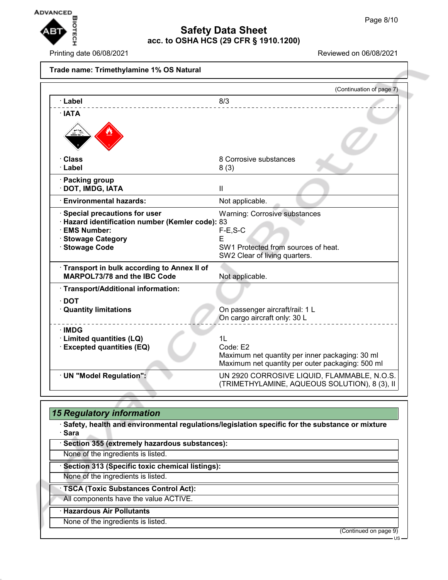

Printing date 06/08/2021 Reviewed on 06/08/2021

#### **Trade name: Trimethylamine 1% OS Natural**

|                                                  | (Continuation of page 7)                                                                            |  |
|--------------------------------------------------|-----------------------------------------------------------------------------------------------------|--|
| · Label                                          | 8/3                                                                                                 |  |
| · IATA                                           |                                                                                                     |  |
|                                                  |                                                                                                     |  |
| · Class                                          | 8 Corrosive substances                                                                              |  |
| · Label                                          | 8(3)                                                                                                |  |
| · Packing group                                  |                                                                                                     |  |
| · DOT, IMDG, IATA                                | $\mathbf{I}$                                                                                        |  |
| <b>Environmental hazards:</b>                    | Not applicable.                                                                                     |  |
| Special precautions for user                     | <b>Warning: Corrosive substances</b>                                                                |  |
| · Hazard identification number (Kemler code): 83 |                                                                                                     |  |
| <b>EMS Number:</b>                               | $F-E$ , S-C                                                                                         |  |
| · Stowage Category<br>· Stowage Code             | F<br>SW1 Protected from sources of heat.                                                            |  |
|                                                  | SW2 Clear of living quarters.                                                                       |  |
| Transport in bulk according to Annex II of       |                                                                                                     |  |
| <b>MARPOL73/78 and the IBC Code</b>              | Not applicable.                                                                                     |  |
| · Transport/Additional information:              |                                                                                                     |  |
| $\cdot$ DOT                                      |                                                                                                     |  |
| <b>Quantity limitations</b>                      | On passenger aircraft/rail: 1 L                                                                     |  |
|                                                  | On cargo aircraft only: 30 L                                                                        |  |
| $\cdot$ IMDG                                     |                                                                                                     |  |
| · Limited quantities (LQ)<br>1 <sub>L</sub>      |                                                                                                     |  |
| <b>Excepted quantities (EQ)</b>                  | Code: E2                                                                                            |  |
|                                                  | Maximum net quantity per inner packaging: 30 ml<br>Maximum net quantity per outer packaging: 500 ml |  |
| · UN "Model Regulation":                         | UN 2920 CORROSIVE LIQUID, FLAMMABLE, N.O.S.                                                         |  |
|                                                  | (TRIMETHYLAMINE, AQUEOUS SOLUTION), 8 (3), II                                                       |  |

## *15 Regulatory information* · **Safety, health and environmental regulations/legislation specific for the substance or mixture** · **Sara** · **Section 355 (extremely hazardous substances):** None of the ingredients is listed. · **Section 313 (Specific toxic chemical listings):** None of the ingredients is listed. · **TSCA (Toxic Substances Control Act):** All components have the value ACTIVE. · **Hazardous Air Pollutants** None of the ingredients is listed. (Continued on page 9)

US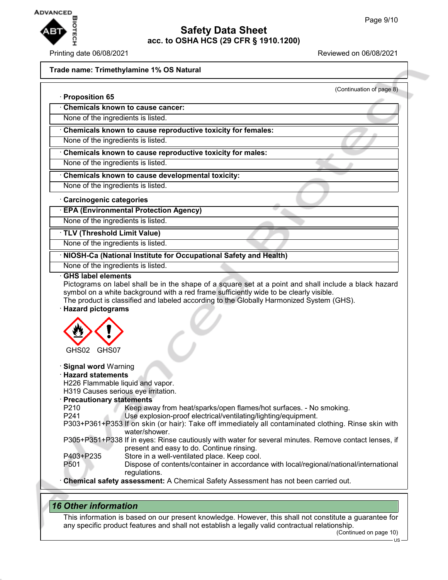

#### Printing date 06/08/2021 Reviewed on 06/08/2021

### **Trade name: Trimethylamine 1% OS Natural**

| <b>Proposition 65</b>                                                  | (Continuation of page 8)                                                                                                                                                                                                                                                                    |
|------------------------------------------------------------------------|---------------------------------------------------------------------------------------------------------------------------------------------------------------------------------------------------------------------------------------------------------------------------------------------|
|                                                                        | <b>Chemicals known to cause cancer:</b>                                                                                                                                                                                                                                                     |
|                                                                        | None of the ingredients is listed.                                                                                                                                                                                                                                                          |
|                                                                        | Chemicals known to cause reproductive toxicity for females:                                                                                                                                                                                                                                 |
|                                                                        | None of the ingredients is listed.                                                                                                                                                                                                                                                          |
|                                                                        | Chemicals known to cause reproductive toxicity for males:                                                                                                                                                                                                                                   |
|                                                                        | None of the ingredients is listed.                                                                                                                                                                                                                                                          |
|                                                                        | Chemicals known to cause developmental toxicity:                                                                                                                                                                                                                                            |
|                                                                        | None of the ingredients is listed.                                                                                                                                                                                                                                                          |
|                                                                        | <b>Carcinogenic categories</b>                                                                                                                                                                                                                                                              |
|                                                                        | <b>EPA (Environmental Protection Agency)</b>                                                                                                                                                                                                                                                |
|                                                                        | None of the ingredients is listed.                                                                                                                                                                                                                                                          |
|                                                                        | TLV (Threshold Limit Value)                                                                                                                                                                                                                                                                 |
|                                                                        | None of the ingredients is listed.                                                                                                                                                                                                                                                          |
|                                                                        | NIOSH-Ca (National Institute for Occupational Safety and Health)                                                                                                                                                                                                                            |
|                                                                        | None of the ingredients is listed.                                                                                                                                                                                                                                                          |
|                                                                        | Pictograms on label shall be in the shape of a square set at a point and shall include a black hazard<br>symbol on a white background with a red frame sufficiently wide to be clearly visible.<br>The product is classified and labeled according to the Globally Harmonized System (GHS). |
| <b>Hazard pictograms</b>                                               |                                                                                                                                                                                                                                                                                             |
| GHS02 GHS07                                                            |                                                                                                                                                                                                                                                                                             |
|                                                                        | H226 Flammable liquid and vapor.<br>H319 Causes serious eye irritation.                                                                                                                                                                                                                     |
|                                                                        | <b>Precautionary statements</b><br>Keep away from heat/sparks/open flames/hot surfaces. - No smoking.                                                                                                                                                                                       |
|                                                                        | Use explosion-proof electrical/ventilating/lighting/equipment.<br>P303+P361+P353 If on skin (or hair): Take off immediately all contaminated clothing. Rinse skin with                                                                                                                      |
| <b>Signal word Warning</b><br><b>Hazard statements</b><br>P210<br>P241 | water/shower.<br>P305+P351+P338 If in eyes: Rinse cautiously with water for several minutes. Remove contact lenses, if<br>present and easy to do. Continue rinsing.                                                                                                                         |
| P403+P235<br>P501                                                      | Store in a well-ventilated place. Keep cool.<br>Dispose of contents/container in accordance with local/regional/national/international<br>regulations.                                                                                                                                      |

## *16 Other information*

This information is based on our present knowledge. However, this shall not constitute a guarantee for any specific product features and shall not establish a legally valid contractual relationship.

(Continued on page 10)